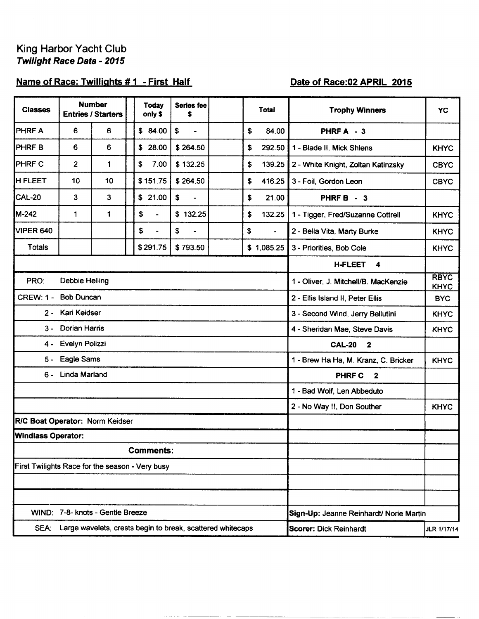# King Harbor Yacht Club Twilight Race Data - 2015

## Name of Race: Twillights #1 - First Half

## Date of Race: 02 APRIL 2015

| <b>Classes</b>                                  |                         | <b>Number</b><br><b>Entries / Starters</b> |  | <b>Today</b><br>only \$ | <b>Series fee</b><br>\$                                    |  |    | Total                                                              | <b>Trophy Winners</b>                    | <b>YC</b>   |  |  |
|-------------------------------------------------|-------------------------|--------------------------------------------|--|-------------------------|------------------------------------------------------------|--|----|--------------------------------------------------------------------|------------------------------------------|-------------|--|--|
| <b>PHRFA</b>                                    | 6                       | 6                                          |  | \$84.00                 | \$<br>$\blacksquare$                                       |  | \$ | 84.00                                                              | PHRFA - 3                                |             |  |  |
| <b>PHRFB</b>                                    | 6                       | 6                                          |  | \$28.00                 | \$264.50                                                   |  | \$ | 292.50                                                             | 1 - Blade II, Mick Shlens                | <b>KHYC</b> |  |  |
| <b>PHRFC</b>                                    | $\overline{\mathbf{2}}$ | 1                                          |  | \$<br>7.00              | \$132.25                                                   |  | \$ | 139.25                                                             | 2 - White Knight, Zoltan Katinzsky       | <b>CBYC</b> |  |  |
| <b>H FLEET</b>                                  | 10                      | 10                                         |  | \$151.75                | \$264.50                                                   |  | \$ | 416.25                                                             | 3 - Foil, Gordon Leon                    | <b>CBYC</b> |  |  |
| CAL-20                                          | 3                       | 3                                          |  | \$21.00                 | \$<br>$\blacksquare$                                       |  | \$ | 21.00                                                              | PHRF B - 3                               |             |  |  |
| M-242                                           | 1                       | 1                                          |  | \$<br>$\blacksquare$    | \$132.25                                                   |  | \$ | 132.25                                                             | 1 - Tigger, Fred/Suzanne Cottrell        | <b>KHYC</b> |  |  |
| VIPER 640                                       |                         |                                            |  | \$<br>$\blacksquare$    | \$<br>$\overline{\phantom{a}}$                             |  | \$ | $\sim$                                                             | 2 - Bella Vita, Marty Burke              | <b>KHYC</b> |  |  |
| <b>Totals</b>                                   |                         |                                            |  | \$291.75                | \$793.50                                                   |  |    | \$1,085.25                                                         | 3 - Priorities, Bob Cole                 | <b>KHYC</b> |  |  |
|                                                 |                         |                                            |  |                         |                                                            |  |    |                                                                    | <b>H-FLEET</b><br>$\blacktriangleleft$   |             |  |  |
| PRO:<br><b>Debbie Helling</b>                   |                         |                                            |  |                         |                                                            |  |    | <b>RBYC</b><br>1 - Oliver, J. Mitchell/B. MacKenzie<br><b>KHYC</b> |                                          |             |  |  |
| <b>Bob Duncan</b><br><b>CREW: 1 -</b>           |                         |                                            |  |                         |                                                            |  |    | 2 - Ellis Island II, Peter Ellis<br><b>BYC</b>                     |                                          |             |  |  |
| Kari Keidser<br>2 -                             |                         |                                            |  |                         |                                                            |  |    | 3 - Second Wind, Jerry Bellutini<br><b>KHYC</b>                    |                                          |             |  |  |
| <b>Dorian Harris</b><br>3 -                     |                         |                                            |  |                         |                                                            |  |    | 4 - Sheridan Mae, Steve Davis<br><b>KHYC</b>                       |                                          |             |  |  |
| 4 -                                             | Evelyn Polizzi          |                                            |  |                         |                                                            |  |    |                                                                    | <b>CAL-20</b><br>$\overline{\mathbf{2}}$ |             |  |  |
| 5 -                                             | Eagle Sams              |                                            |  |                         |                                                            |  |    |                                                                    | 1 - Brew Ha Ha, M. Kranz, C. Bricker     | <b>KHYC</b> |  |  |
|                                                 | 6 - Linda Marland       |                                            |  |                         |                                                            |  |    |                                                                    | <b>PHRF C</b><br>$\mathbf{2}$            |             |  |  |
|                                                 |                         |                                            |  |                         |                                                            |  |    |                                                                    | 1 - Bad Wolf, Len Abbeduto               |             |  |  |
|                                                 |                         |                                            |  |                         |                                                            |  |    |                                                                    | 2 - No Way !!, Don Souther               | <b>KHYC</b> |  |  |
| R/C Boat Operator: Norm Keidser                 |                         |                                            |  |                         |                                                            |  |    |                                                                    |                                          |             |  |  |
| <b>Windlass Operator:</b>                       |                         |                                            |  |                         |                                                            |  |    |                                                                    |                                          |             |  |  |
|                                                 |                         |                                            |  | <b>Comments:</b>        |                                                            |  |    |                                                                    |                                          |             |  |  |
| First Twilights Race for the season - Very busy |                         |                                            |  |                         |                                                            |  |    |                                                                    |                                          |             |  |  |
|                                                 |                         |                                            |  |                         |                                                            |  |    |                                                                    |                                          |             |  |  |
|                                                 |                         |                                            |  |                         |                                                            |  |    |                                                                    |                                          |             |  |  |
|                                                 |                         | WIND: 7-8- knots - Gentle Breeze           |  |                         |                                                            |  |    |                                                                    | Sign-Up: Jeanne Reinhardt/ Norie Martin  |             |  |  |
| SEA:                                            |                         |                                            |  |                         | Large wavelets, crests begin to break, scattered whitecaps |  |    |                                                                    | <b>Scorer: Dick Reinhardt</b>            | JLR 1/17/14 |  |  |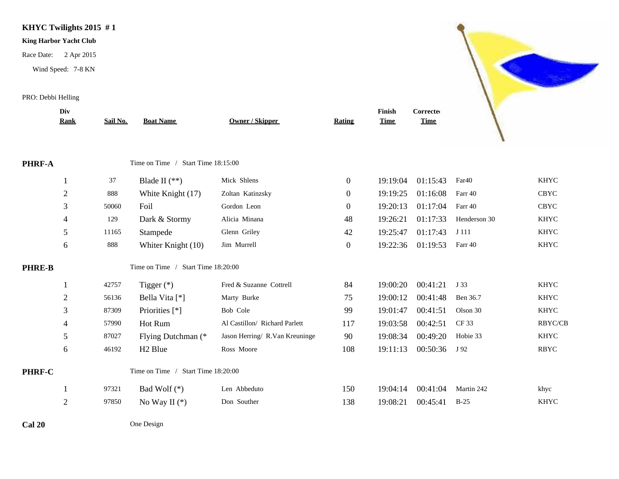### **KHYC Twilights 2015 # 1**

### **King Harbor Yacht Club**

Race Date: 2 Apr 2015

Wind Speed: 7-8 KN

### PRO: Debbi Helling

|               | Div            |          |                                    |                                |                  | Finish      | Corrected   |                   |                |
|---------------|----------------|----------|------------------------------------|--------------------------------|------------------|-------------|-------------|-------------------|----------------|
|               | Rank           | Sail No. | <b>Boat Name</b>                   | <b>Owner / Skipper</b>         | Rating           | <b>Time</b> | <b>Time</b> |                   |                |
|               |                |          |                                    |                                |                  |             |             |                   |                |
| PHRF-A        |                |          | Time on Time / Start Time 18:15:00 |                                |                  |             |             |                   |                |
|               |                | 37       | Blade II $(**)$                    | Mick Shlens                    | $\boldsymbol{0}$ | 19:19:04    | 01:15:43    | Far <sub>40</sub> | <b>KHYC</b>    |
|               | $\overline{2}$ | 888      | White Knight (17)                  | Zoltan Katinzsky               | $\overline{0}$   | 19:19:25    | 01:16:08    | Farr 40           | <b>CBYC</b>    |
|               | 3              | 50060    | Foil                               | Gordon Leon                    | $\overline{0}$   | 19:20:13    | 01:17:04    | Farr 40           | <b>CBYC</b>    |
|               | $\overline{4}$ | 129      | Dark & Stormy                      | Alicia Minana                  | 48               | 19:26:21    | 01:17:33    | Henderson 30      | <b>KHYC</b>    |
|               | 5              | 11165    | Stampede                           | Glenn Griley                   | 42               | 19:25:47    | 01:17:43    | J 111             | <b>KHYC</b>    |
|               | 6              | 888      | Whiter Knight (10)                 | Jim Murrell                    | $\boldsymbol{0}$ | 19:22:36    | 01:19:53    | Farr 40           | <b>KHYC</b>    |
| <b>PHRE-B</b> |                |          | Time on Time / Start Time 18:20:00 |                                |                  |             |             |                   |                |
|               |                | 42757    | Tigger $(*)$                       | Fred & Suzanne Cottrell        | 84               | 19:00:20    | 00:41:21    | J 33              | <b>KHYC</b>    |
|               | $\overline{2}$ | 56136    | Bella Vita [*]                     | Marty Burke                    | 75               | 19:00:12    | 00:41:48    | Ben 36.7          | <b>KHYC</b>    |
|               | 3              | 87309    | Priorities [*]                     | Bob Cole                       | 99               | 19:01:47    | 00:41:51    | Olson 30          | <b>KHYC</b>    |
|               | 4              | 57990    | Hot Rum                            | Al Castillon/ Richard Parlett  | 117              | 19:03:58    | 00:42:51    | CF 33             | <b>RBYC/CB</b> |
|               | 5              | 87027    | Flying Dutchman (*                 | Jason Herring/ R.Van Kreuninge | 90               | 19:08:34    | 00:49:20    | Hobie 33          | <b>KHYC</b>    |
|               | 6              | 46192    | H <sub>2</sub> Blue                | Ross Moore                     | 108              | 19:11:13    | 00:50:36    | J 92              | <b>RBYC</b>    |
| PHRF-C        |                |          | Time on Time / Start Time 18:20:00 |                                |                  |             |             |                   |                |
|               |                | 97321    | Bad Wolf (*)                       | Len Abbeduto                   | 150              | 19:04:14    | 00:41:04    | Martin 242        | khyc           |
|               | $\overline{2}$ | 97850    | No Way II $(*)$                    | Don Souther                    | 138              | 19:08:21    | 00:45:41    | $B-25$            | <b>KHYC</b>    |
|               |                |          |                                    |                                |                  |             |             |                   |                |

S

**Cal 20** One Design